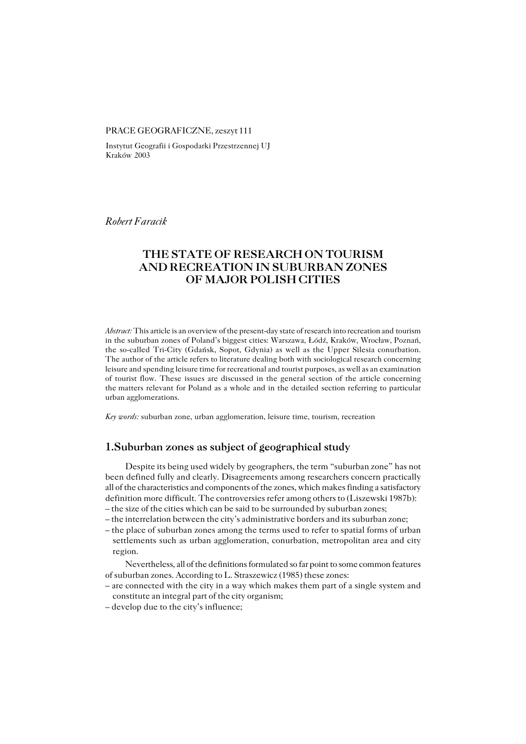#### PRACE GEOGRAFICZNE, zeszyt 111

Instytut Geografii i Gospodarki Przestrzennej UJ Kraków 2003

*Robert Faracik*

# **THE STATE OF RESEARCH ON TOURISM AND RECREATION IN SUBURBAN ZONES OF MAJOR POLISH CITIES**

*Abstract:* This article is an overview of the present−day state of research into recreation andtourism in the suburban zones of Poland's biggest cities: Warszawa, Łódź, Kraków, Wrocław, Poznań, the so−called Tri−City (Gdańsk, Sopot, Gdynia) as well as the Upper Silesia conurbation. The author of the article refers to literature dealing both with sociological research concerning leisure and spending leisure time for recreational and tourist purposes, as well as an examination of tourist flow. These issues are discussed in the general section of the article concerning thematters relevant for Poland as a whole and in the detailed section referring to particular urban agglomerations.

*Key words:* suburban zone, urban agglomeration, leisure time, tourism, recreation

## **1.Suburban zones as subject of geographical study**

Despite its being used widely by geographers, the term "suburban zone" has not been defined fully and clearly. Disagreements among researchers concern practically all of the characteristics and components of the zones, which makes finding a satisfactory definition more difficult. The controversies refer among others to (Liszewski 1987b): – the size of the cities which can be said to be surrounded by suburban zones;

– the interrelation between the city's administrative borders and its suburban zone;

– the place of suburban zones among the terms used to refer to spatial forms of urban settlements such as urban agglomeration, conurbation, metropolitan area and city region.

Nevertheless, all of the definitions formulated so far point to some common features of suburban zones. According to L. Straszewicz (1985) these zones:

- are connected with the city in a way which makes them part of a single system and constitute an integral part of the city organism;
- develop due to the city's influence;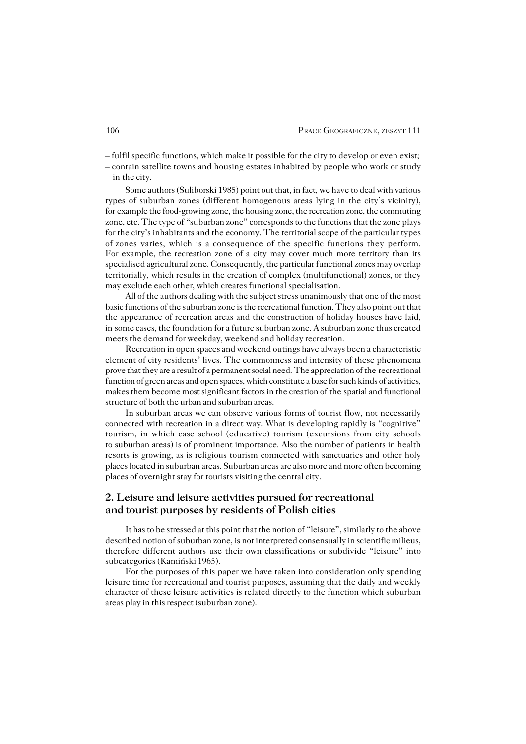– fulfil specific functions, which make it possible for the city to develop or even exist; – contain satellite towns and housing estates inhabited by people who work or study in the city.

Some authors (Suliborski 1985) point out that, in fact, we have to deal with various types of suburban zones (different homogenous areas lying in the city's vicinity), forexample the food−growing zone, the housing zone, the recreation zone, the commuting zone, etc. The type of "suburban zone" corresponds to the functions that the zone plays for the city's inhabitants and the economy. The territorial scope of the particular types ofzones varies, which is a consequence of the specific functions they perform. For example, the recreation zone of a city may cover much more territory than its specialised agricultural zone. Consequently, the particular functional zones may overlap territorially, which results in the creation of complex (multifunctional) zones, or they may exclude each other, which creates functional specialisation.

All of the authors dealing with the subject stress unanimously that one of the most basic functions of the suburban zone is the recreational function. They also point out that the appearance of recreation areas and the construction of holiday houses have laid, insome cases, the foundation for a future suburban zone. A suburban zone thus created meets the demand for weekday, weekend and holiday recreation.

Recreation in open spaces and weekend outings have always been a characteristic element of city residents' lives. The commonness and intensity of these phenomena prove that they are a result of a permanent social need. The appreciation of the recreational function of green areas and open spaces, which constitute a base for such kinds of activities, makes them become most significant factors in the creation of the spatial and functional structure of both the urban and suburban areas.

In suburban areas we can observe various forms of tourist flow, not necessarily connected with recreation in a direct way. What is developing rapidly is "cognitive" tourism, in which case school (educative) tourism (excursions from city schools to suburban areas) is of prominent importance. Also the number of patients in health resorts is growing, as is religious tourism connected with sanctuaries and other holy places located in suburban areas. Suburban areas are also more and more often becoming places of overnight stay for tourists visiting the central city.

## **2. Leisure and leisure activities pursued for recreational and tourist purposes by residents of Polish cities**

It has to be stressed at this point that the notion of "leisure", similarly to the above described notion of suburban zone, is not interpreted consensually in scientific milieus, therefore different authors use their own classifications or subdivide "leisure" into subcategories (Kamiński 1965).

For the purposes of this paper we have taken into consideration only spending leisure time for recreational and tourist purposes, assuming that the daily and weekly character of these leisure activities is related directly to the function which suburban areas play in this respect (suburban zone).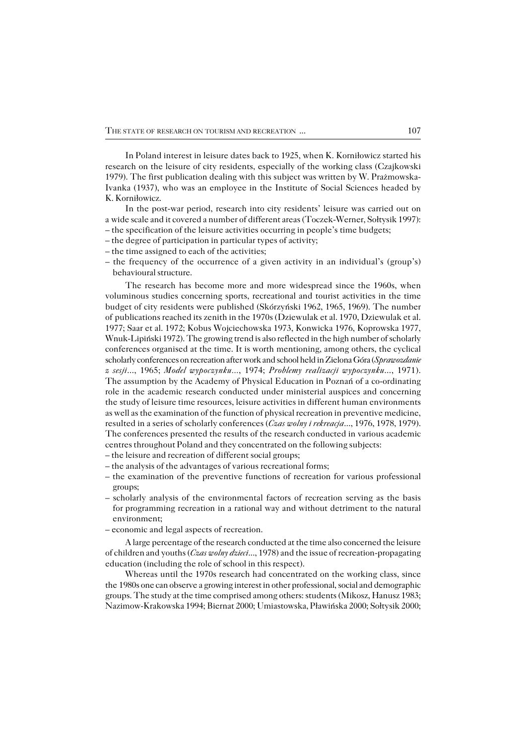In Poland interest in leisure dates back to 1925, when K. Korniłowicz started his research on the leisure of city residents, especially of the working class (Czajkowski 1979). The first publication dealing with this subject was written by W. Prażmowska− Ivanka (1937), who was an employee in the Institute of Social Sciences headed by K. Korniłowicz.

In the post−war period, research into city residents' leisure was carried out on awide scale and it covered a number of different areas (Toczek−Werner, Sołtysik 1997): – the specification of the leisure activities occurring in people's time budgets;

- the degree of participation in particular types of activity;
- the time assigned to each of the activities;
- the frequency of the occurrence of a given activity in an individual's (group's) behavioural structure.

The research has become more and more widespread since the 1960s, when voluminous studies concerning sports, recreational and tourist activities in the time budget of city residents were published (Skórzyński 1962, 1965, 1969). The number ofpublications reached its zenith in the 1970s (Dziewulak et al. 1970, Dziewulak et al. 1977; Saar et al. 1972; Kobus Wojciechowska 1973, Konwicka 1976, Koprowska 1977, Wnuk−Lipiński 1972). The growing trend is also reflected in the high number of scholarly conferences organised at the time. It is worth mentioning, among others, the cyclical scholarly conferences on recreation after work and school held in Zielona Góra (*Sprawozdanie z sesji*..., 1965; *Model wypoczynku...*, 1974; *Problemy realizacji wypoczynku*..., 1971). The assumption by the Academy of Physical Education in Poznań of a co−ordinating role in the academic research conducted under ministerial auspices and concerning the study of leisure time resources, leisure activities in different human environments as well as the examination of the function of physical recreation in preventive medicine, resulted in a series of scholarly conferences (*Czas wolny i rekreacja*..., 1976, 1978, 1979). The conferences presented the results of the research conducted in various academic centres throughout Poland and they concentrated on the following subjects:

– the leisure and recreation of different social groups;

- the analysis of the advantages of various recreational forms;
- the examination of the preventive functions of recreation for various professional groups;
- scholarly analysis of the environmental factors of recreation serving as the basis for programming recreation in a rational way and without detriment to the natural environment;
- economic and legal aspects of recreation.

A large percentage of the research conducted at the time also concerned the leisure of children and youths (*Czas wolny dzieci*..., 1978) and the issue of recreation−propagating education (including the role of school in this respect).

Whereas until the 1970s research had concentrated on the working class, since the1980s one can observe a growing interest in other professional, social and demographic groups. The study at the time comprised among others: students (Mikosz, Hanusz 1983; Nazimow−Krakowska 1994; Biernat 2000; Umiastowska, Pławińska 2000; Sołtysik 2000;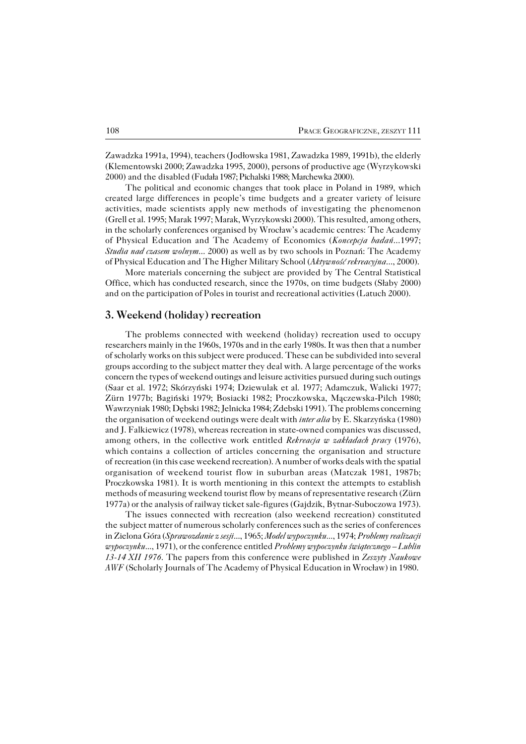Zawadzka 1991a, 1994), teachers (Jodłowska 1981, Zawadzka 1989, 1991b), the elderly (Klementowski 2000; Zawadzka 1995, 2000), persons of productive age (Wyrzykowski 2000) and the disabled (Fudała 1987; Pichalski 1988; Marchewka 2000).

The political and economic changes that took place in Poland in 1989, which created large differences in people's time budgets and a greater variety of leisure activities, made scientists apply new methods of investigating the phenomenon (Grell et al. 1995; Marak 1997; Marak, Wyrzykowski 2000). This resulted, among others, in the scholarly conferences organised by Wrocław's academic centres: The Academy of Physical Education and The Academy of Economics (*Koncepcja badań*...1997; *Studia nad czasem wolnym*... 2000) as well as by two schools in Poznań: The Academy of Physical Education and The Higher Military School (*Aktywność rekreacyjna*..., 2000).

More materials concerning the subject are provided by The Central Statistical Office, which has conducted research, since the 1970s, on time budgets (Słaby 2000) and on the participation of Poles in tourist and recreational activities (Latuch 2000).

## **3. Weekend (holiday) recreation**

The problems connected with weekend (holiday) recreation used to occupy researchers mainly in the 1960s, 1970s and in the early 1980s. It was then that a number of scholarly works on this subject were produced. These can be subdivided into several groups according to the subject matter they deal with. A large percentage of the works concern the types of weekend outings and leisure activities pursued during such outings (Saar et al. 1972; Skórzyński 1974; Dziewulak et al. 1977; Adamczuk, Walicki 1977; Zürn 1977b; Bagiński 1979; Bosiacki 1982; Proczkowska, Mączewska−Pilch 1980; Wawrzyniak 1980; Dębski 1982; Jelnicka 1984; Zdebski 1991). The problems concerning the organisation of weekend outings were dealt with *inter alia* by E. Skarzyńska (1980) and J. Falkiewicz (1978), whereas recreation in state−owned companies was discussed, among others, in the collective work entitled *Rekreacja w zakładach pracy* (1976), which contains a collection of articles concerning the organisation and structure ofrecreation (in this case weekend recreation). A number of works deals with the spatial organisation of weekend tourist flow in suburban areas (Matczak 1981, 1987b; Proczkowska 1981). It is worth mentioning in this context the attempts to establish methods of measuring weekend tourist flow by means of representative research (Zürn 1977a) or the analysis of railway ticket sale−figures (Gajdzik, Bytnar−Suboczowa 1973).

The issues connected with recreation (also weekend recreation) constituted the subject matter of numerous scholarly conferences such as the series of conferences in Zielona Góra (*Sprawozdanie z sesji*..., 1965; *Model wypoczynku...*, 1974; *Problemy realizacji wypoczynku*..., 1971), or the conference entitled *Problemy wypoczynku świątecznego – Lublin 13−14 XII 1976*. The papers from this conference were published in *Zeszyty Naukowe AWF* (Scholarly Journals of The Academy of Physical Education in Wrocław) in 1980.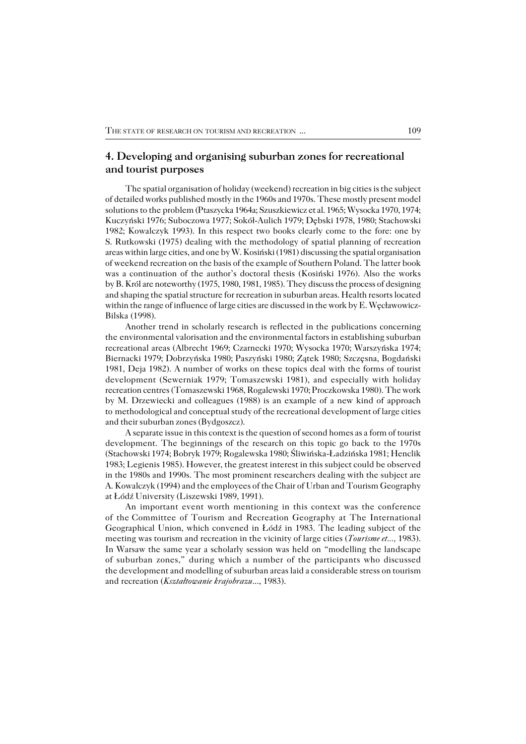## **4. Developing and organising suburban zones for recreational and tourist purposes**

The spatial organisation of holiday (weekend) recreation in big cities is the subject of detailed works published mostly in the 1960s and 1970s. These mostly present model solutions to the problem (Ptaszycka 1964a; Szuszkiewicz et al. 1965; Wysocka 1970, 1974; Kuczyński 1976; Suboczowa 1977; Sokół−Aulich 1979; Dębski 1978, 1980; Stachowski 1982; Kowalczyk 1993). In this respect two books clearly come to the fore: one by S. Rutkowski (1975) dealing with the methodology of spatial planning of recreation areas within large cities, and one by W. Kosiński (1981) discussing the spatial organisation of weekend recreation on the basis of the example of Southern Poland. The latter book was a continuation of the author's doctoral thesis (Kosiński 1976). Also the works by B. Król are noteworthy (1975, 1980, 1981, 1985). They discuss the process of designing and shaping the spatial structure for recreation in suburban areas. Health resorts located within the range of influence of large cities are discussed in the work by E. Wecławowicz− Bilska (1998).

Another trend in scholarly research is reflected in the publications concerning the environmental valorisation and the environmental factors in establishing suburban recreational areas (Albrecht 1969; Czarnecki 1970; Wysocka 1970; Warszyńska 1974; Biernacki 1979; Dobrzyńska 1980; Paszyński 1980; Zątek 1980; Szczęsna, Bogdański 1981, Deja 1982). A number of works on these topics deal with the forms of tourist development (Sewerniak 1979; Tomaszewski 1981), and especially with holiday recreation centres (Tomaszewski 1968, Rogalewski 1970; Proczkowska 1980). The work by M. Drzewiecki and colleagues (1988) is an example of a new kind of approach tomethodological and conceptual study of the recreational development of large cities and their suburban zones (Bydgoszcz).

A separate issue in this context is the question of second homes as a form of tourist development. The beginnings of the research on this topic go back to the 1970s (Stachowski 1974; Bobryk 1979; Rogalewska 1980; Śliwińska−Ładzińska 1981; Henclik 1983; Legienis 1985). However, the greatest interest in this subject could be observed in the 1980s and 1990s. The most prominent researchers dealing with the subject are A. Kowalczyk (1994) and the employees of the Chair of Urban and Tourism Geography at Łódź University (Liszewski 1989, 1991).

An important event worth mentioning in this context was the conference of theCommittee of Tourism and Recreation Geography at The International Geographical Union, which convened in Łódź in 1983. The leading subject of the meeting was tourism and recreation in the vicinity of large cities (*Tourisme et...,* 1983). In Warsaw the same year a scholarly session was held on "modelling the landscape of suburban zones," during which a number of the participants who discussed the development and modelling of suburban areas laid a considerable stress on tourism and recreation (*Kształtowanie krajobrazu*..., 1983).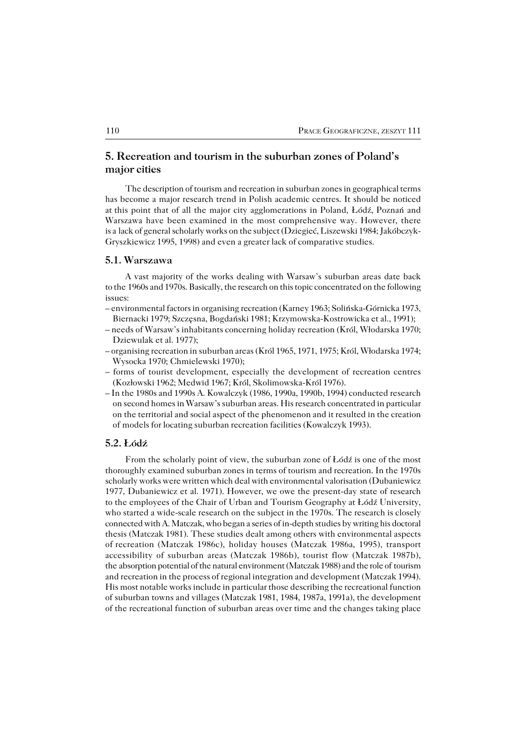# **5. Recreation and tourism in the suburban zones of Poland's major cities**

The description of tourism and recreation in suburban zones in geographical terms has become a major research trend in Polish academic centres. It should be noticed atthis point that of all the major city agglomerations in Poland, Łódź, Poznań and Warszawa have been examined in the most comprehensive way. However, there is alack of general scholarly works on the subject (Dziegieć, Liszewski 1984; Jakóbczyk− Gryszkiewicz 1995, 1998) and even a greater lack of comparative studies.

### **5.1. Warszawa**

A vast majority of the works dealing with Warsaw's suburban areas date back to the 1960s and 1970s. Basically, the research on this topic concentrated on the following issues:

- environmental factors in organising recreation (Karney 1963; Solińska−Górnicka 1973, Biernacki 1979; Szczęsna, Bogdański 1981; Krzymowska−Kostrowicka et al., 1991);
- needs of Warsaw's inhabitants concerning holiday recreation (Król, Włodarska 1970; Dziewulak et al. 1977);
- organising recreation in suburban areas (Król 1965, 1971, 1975; Król, Włodarska 1974; Wysocka 1970; Chmielewski 1970);
- forms of tourist development, especially the development of recreation centres (Kozłowski 1962; Medwid 1967; Król, Skolimowska−Król 1976).
- In the 1980s and 1990s A. Kowalczyk (1986, 1990a, 1990b, 1994) conducted research on second homes in Warsaw's suburban areas. His research concentrated in particular on the territorial and social aspect of the phenomenon and it resulted in the creation of models for locating suburban recreation facilities (Kowalczyk 1993).

#### **5.2. Łódź**

From the scholarly point of view, the suburban zone of Łódź is one of the most thoroughly examined suburban zones in terms of tourism and recreation. In the 1970s scholarly works were written which deal with environmental valorisation (Dubaniewicz 1977, Dubaniewicz et al. 1971). However, we owe the present−day state of research tothe employees of the Chair of Urban and Tourism Geography at Łódź University, who started a wide−scale research on the subject in the 1970s. The research is closely connected with A. Matczak, who began a series of in−depth studies by writing his doctoral thesis (Matczak 1981). These studies dealt among others with environmental aspects ofrecreation (Matczak 1986c), holiday houses (Matczak 1986a, 1995), transport accessibility of suburban areas (Matczak 1986b), tourist flow (Matczak 1987b), the absorption potential of the natural environment (Matczak 1988) and the role of tourism and recreation in the process of regional integration and development (Matczak 1994). His most notable works include in particular those describing the recreational function of suburban towns and villages (Matczak 1981, 1984, 1987a, 1991a), the development ofthe recreational function of suburban areas over time and the changes taking place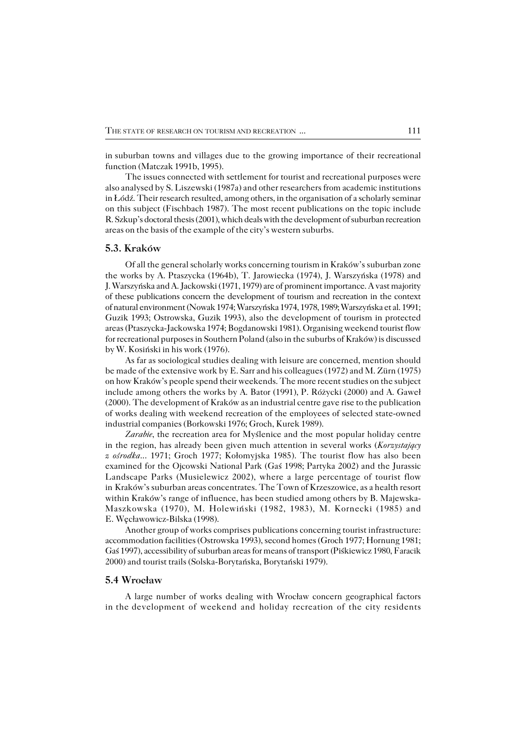insuburban towns and villages due to the growing importance of their recreational function (Matczak 1991b, 1995).

The issues connected with settlement for tourist and recreational purposes were also analysed by S. Liszewski (1987a) and other researchers from academic institutions in Łódź. Their research resulted, among others, in the organisation of a scholarly seminar on this subject (Fischbach 1987). The most recent publications on the topic include R. Szkup's doctoral thesis (2001), which deals with the development of suburban recreation areas on the basis of the example of the city's western suburbs.

### **5.3. Kraków**

Of all the general scholarly works concerning tourism in Kraków's suburban zone the works by A. Ptaszycka (1964b), T. Jarowiecka (1974), J. Warszyńska (1978) and J. Warszyńska and A. Jackowski (1971, 1979) are of prominent importance. A vast majority of these publications concern the development of tourism and recreation in the context of natural environment (Nowak 1974; Warszyńska 1974, 1978, 1989; Warszyńska et al. 1991; Guzik 1993; Ostrowska, Guzik 1993), also the development of tourism in protected areas (Ptaszycka−Jackowska 1974; Bogdanowski 1981). Organising weekend tourist flow for recreational purposes in Southern Poland (also in the suburbs of Kraków) is discussed by W. Kosiński in his work (1976).

As far as sociological studies dealing with leisure are concerned, mention should be made of the extensive work by E. Sarr and his colleagues (1972) and M. Zürn (1975) on how Kraków's people spend their weekends. The more recent studies on the subject include among others the works by A. Bator (1991), P. Różycki (2000) and A. Gaweł (2000). The development of Kraków as an industrial centre gave rise to the publication of works dealing with weekend recreation of the employees of selected state−owned industrial companies (Borkowski 1976; Groch, Kurek 1989).

*Zarabie*, the recreation area for Myślenice and the most popular holiday centre in the region, has already been given much attention in several works (*Korzystający z ośrodka*... 1971; Groch 1977; Kołomyjska 1985). The tourist flow has also been examined for the Ojcowski National Park (Gaś 1998; Partyka 2002) and the Jurassic Landscape Parks (Musielewicz 2002), where a large percentage of tourist flow in Kraków's suburban areas concentrates. The Town of Krzeszowice, as a health resort within Kraków's range of influence, has been studied among others by B. Majewska− Maszkowska (1970), M. Holewiński (1982, 1983), M. Kornecki (1985) and E.Węcławowicz−Bilska (1998).

Another group of works comprises publications concerning tourist infrastructure: accommodation facilities (Ostrowska 1993), second homes (Groch 1977; Hornung 1981; Gaś 1997), accessibility of suburban areas for means of transport (Piśkiewicz 1980, Faracik 2000) and tourist trails (Solska−Borytańska, Borytański 1979).

#### **5.4 Wrocław**

A large number of works dealing with Wrocław concern geographical factors in the development of weekend and holiday recreation of the city residents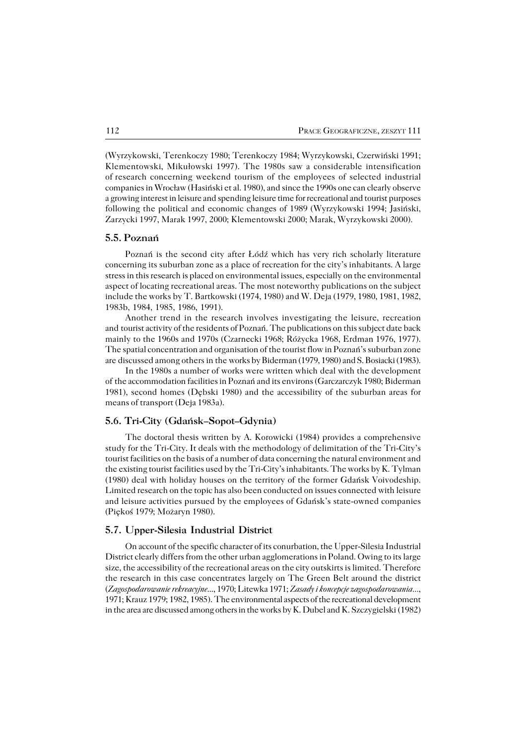(Wyrzykowski, Terenkoczy 1980; Terenkoczy 1984; Wyrzykowski, Czerwiński 1991; Klementowski, Mikułowski 1997). The 1980s saw a considerable intensification ofresearch concerning weekend tourism of the employees of selected industrial companies in Wrocław (Hasiński et al. 1980), and since the 1990s one can clearly observe a growing interest in leisure and spending leisure time for recreational and tourist purposes following the political and economic changes of 1989 (Wyrzykowski 1994; Jasiński, Zarzycki 1997, Marak 1997, 2000; Klementowski 2000; Marak, Wyrzykowski 2000).

#### **5.5. Poznań**

Poznań is the second city after Łódź which has very rich scholarly literature concerning its suburban zone as a place of recreation for the city's inhabitants. A large stress in this research is placed on environmental issues, especially on the environmental aspect of locating recreational areas. The most noteworthy publications on the subject include the works by T. Bartkowski (1974, 1980) and W. Deja (1979, 1980, 1981, 1982, 1983b, 1984, 1985, 1986, 1991).

Another trend in the research involves investigating the leisure, recreation and tourist activity of the residents of Poznań. The publications on this subject date back mainly to the 1960s and 1970s (Czarnecki 1968; Różycka 1968, Erdman 1976, 1977). The spatial concentration and organisation of the tourist flow in Poznań's suburban zone are discussed among others in the works by Biderman (1979, 1980) and S. Bosiacki (1983).

In the 1980s a number of works were written which deal with the development ofthe accommodation facilities in Poznań and its environs (Garczarczyk 1980; Biderman 1981), second homes (Dębski 1980) and the accessibility of the suburban areas for means of transport (Deja 1983a).

## **5.6. Tri−City (Gdańsk–Sopot–Gdynia)**

The doctoral thesis written by A. Korowicki (1984) provides a comprehensive study for the Tri−City. It deals with the methodology of delimitation of the Tri−City's tourist facilities on the basis of a number of data concerning the natural environment and the existing tourist facilities used by the Tri−City's inhabitants. The works by K. Tylman (1980) deal with holiday houses on the territory of the former Gdańsk Voivodeship. Limited research on the topic has also been conducted on issues connected with leisure and leisure activities pursued by the employees of Gdańsk's state−owned companies (Piękoś 1979; Możaryn 1980).

## **5.7. Upper−Silesia Industrial District**

On account of the specific character of its conurbation, the Upper−Silesia Industrial District clearly differs from the other urban agglomerations in Poland. Owing to its large size, the accessibility of the recreational areas on the city outskirts is limited. Therefore the research in this case concentrates largely on The Green Belt around the district (*Zagospodarowanie rekreacyjne*..., 1970; Litewka 1971; *Zasady i koncepcje zagospodarowania...*, 1971; Krauz 1979; 1982, 1985). The environmental aspects of the recreational development in the area are discussed among others in the works by K. Dubel and K. Szczygielski (1982)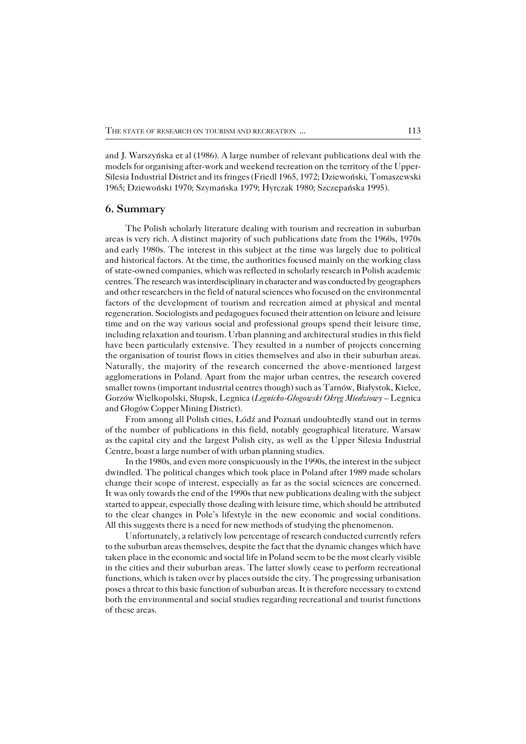and J. Warszyńska et al (1986). A large number of relevant publications deal with the models for organising after−work and weekend recreation onthe territory of the Upper− Silesia Industrial District and its fringes (Friedl 1965, 1972; Dziewoński, Tomaszewski 1965; Dziewoński 1970; Szymańska 1979; Hyrczak 1980; Szczepańska 1995).

## **6. Summary**

The Polish scholarly literature dealing with tourism and recreation in suburban areas is very rich. A distinct majority of such publications date from the 1960s, 1970s and early 1980s. The interest in this subject at the time was largely due to political and historical factors. At the time, the authorities focused mainly on the working class of state-owned companies, which was reflected in scholarly research in Polish academic centres. The research was interdisciplinary in character and was conducted by geographers and other researchers in the field of natural sciences who focused on the environmental factors of the development of tourism and recreation aimed at physical and mental regeneration. Sociologists and pedagogues focused their attention on leisure and leisure time and on the way various social and professional groups spend their leisure time, including relaxation and tourism. Urban planning and architectural studies in this field have been particularly extensive. They resulted in a number of projects concerning the organisation of tourist flows in cities themselves and also in their suburban areas. Naturally, the majority of the research concerned the above−mentioned largest agglomerations in Poland. Apart from the major urban centres, the research covered smaller towns (important industrial centres though) such as Tarnów, Białystok, Kielce, Gorzów Wielkopolski, Słupsk, Legnica (*Legnicko−Głogowski Okręg Miedziowy –* Legnica and Głogów Copper Mining District).

From among all Polish cities, Łódź and Poznań undoubtedly stand out in terms of the number of publications in this field, notably geographical literature. Warsaw asthecapital city and the largest Polish city, as well as the Upper Silesia Industrial Centre, boast a large number of with urban planning studies.

In the 1980s, and even more conspicuously in the 1990s, the interest in the subject dwindled. The political changes which took place in Poland after 1989 made scholars change their scope of interest, especially as far as the social sciences are concerned. Itwas only towards the end of the 1990s that new publications dealing with the subject started to appear, especially those dealing with leisure time, which should be attributed to the clear changes in Pole's lifestyle in the new economic and social conditions. All this suggests there is a need for new methods of studying the phenomenon.

Unfortunately, a relatively low percentage of research conducted currently refers to the suburban areas themselves, despite the fact that the dynamic changes which have taken place in the economic and social life in Poland seem to be the most clearly visible in the cities and their suburban areas. The latter slowly cease to perform recreational functions, which is taken over by places outside the city. The progressing urbanisation poses a threat to this basic function of suburban areas. It is therefore necessary to extend both the environmental and social studies regarding recreational and tourist functions of these areas.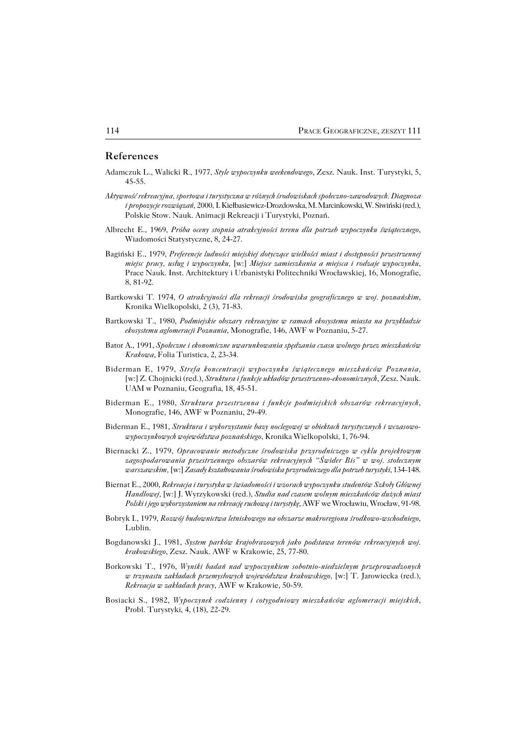### **References**

- Adamczuk L., Walicki R., 1977, *Style wypoczynku weekendowego*, Zesz. Nauk. Inst. Turystyki, 5, 45−55.
- *Aktywność rekreacyjna, sportowa i turystyczna w różnych środowiskach społeczno−zawodowych. Diagnoza i propozycje rozwiązań*, 2000, I. Kiełbasiewicz−Drozdowska, M. Marcinkowski, W. Siwiński (red.), Polskie Stow. Nauk. Animacji Rekreacji i Turystyki, Poznań.
- Albrecht E., 1969, *Próba oceny stopnia atrakcyjności terenu dla potrzeb wypoczynku świątecznego*, Wiadomości Statystyczne, 8, 24−27.
- Bagiński E., 1979, *Preferencje ludności miejskiej dotyczące wielkości miast i dostępności przestrzennej miejsc pracy, usług i wypoczynku,* [w:] *Miejsce zamieszkania a miejsca i rodzaje wypoczynku*, Prace Nauk. Inst. Architektury i Urbanistyki Politechniki Wrocławskiej, 16, Monografie, 8, 81−92.
- Bartkowski T. 1974, *O atrakcyjności dla rekreacji środowiska geograficznego w woj. poznańskim*, Kronika Wielkopolski, 2 (3), 71−83.
- Bartkowski T., 1980, *Podmiejskie obszary rekreacyjne w ramach ekosystemu miasta na przykładzie ekosystemu aglomeracji Poznania*, Monografie, 146, AWF w Poznaniu, 5−27.
- Bator A., 1991, *Społeczne i ekonomiczne uwarunkowania spędzania czasu wolnego przez mieszkańców Krakowa*, Folia Turistica, 2, 23−34.
- Biderman E, 1979, *Strefa koncentracji wypoczynku świątecznego mieszkańców Poznania,* [w:] Z. Chojnicki (red.), *Struktura i funkcje układów przestrzenno−ekonomicznych*, Zesz. Nauk. UAM w Poznaniu, Geografia, 18, 45−51.
- Biderman E., 1980, *Struktura przestrzenna i funkcje podmiejskich obszarów rekreacyjnych*, Monografie, 146, AWF w Poznaniu, 29−49.
- Biderman E., 1981, *Struktura i wykorzystanie bazy noclegowej w obiektach turystycznych i wczasowo− wypoczynkowych województwa poznańskiego*, Kronika Wielkopolski, 1, 76−94.
- Biernacki Z., 1979, *Opracowanie metodyczne środowiska przyrodniczego w cyklu projektowym zagospodarowania przestrzennego obszarów rekreacyjnych "Świder Bis" w woj. stołecznym warszawskim,* [w:] *Zasady kształtowania środowiska przyrodniczego dla potrzeb turystyki*, 134−148.
- Biernat E., 2000, *Rekreacja i turystyka w świadomości i wzorach wypoczynku studentów Szkoły Głównej Handlowej,* [w:] J. Wyrzykowski (red.), *Studia nad czasem wolnym mieszkańców dużych miast Polski i jego wykorzystaniem na rekreację ruchową i turystykę*, AWF we Wrocławiu, Wrocław, 91−98.
- Bobryk I., 1979, *Rozwój budownictwa letniskowego na obszarze makroregionu środkowo−wschodniego*, Lublin.
- Bogdanowski J., 1981, *System parków krajobrazowych jako podstawa terenów rekreacyjnych woj. krakowskiego*, Zesz. Nauk. AWF w Krakowie, 25, 77−80.
- Borkowski T., 1976, *Wyniki badań nad wypoczynkiem sobotnio−niedzielnym przeprowadzonych w trzynastu zakładach przemysłowych województwa krakowskiego,* [w:] T. Jarowiecka (red.), *Rekreacja w zakładach pracy*, AWF w Krakowie, 50−59.
- Bosiacki S., 1982, *Wypoczynek codzienny i cotygodniowy mieszkańców aglomeracji miejskich*, Probl. Turystyki, 4, (18), 22−29.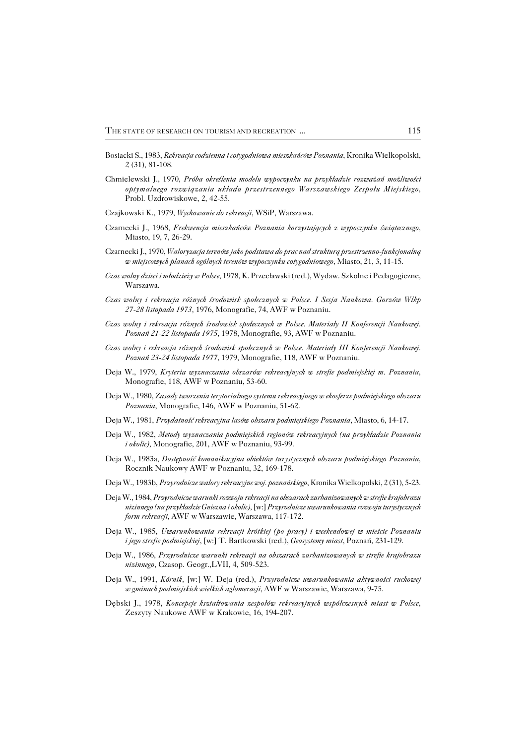- Bosiacki S., 1983, *Rekreacja codzienna i cotygodniowa mieszkańców Poznania*, Kronika Wielkopolski, 2 (31), 81−108.
- Chmielewski J., 1970, *Próba określenia modelu wypoczynku na przykładzie rozważań możliwości optymalnego rozwiązania układu przestrzennego Warszawskiego Zespołu Miejskiego*, Probl. Uzdrowiskowe, 2, 42−55.
- Czajkowski K., 1979, *Wychowanie do rekreacji*, WSiP, Warszawa.
- Czarnecki J., 1968, *Frekwencja mieszkańców Poznania korzystających z wypoczynku świątecznego,* Miasto, 19, 7, 26−29.
- Czarnecki J., 1970, *Waloryzacja terenów jako podstawa do prac nad strukturą przestrzenno−funkcjonalną w miejscowych planach ogólnych terenów wypoczynku cotygodniowego*, Miasto, 21, 3, 11−15.
- *Czas wolny dzieci i młodzieży w Polsce*, 1978, K. Przecławski (red.), Wydaw. Szkolne i Pedagogiczne, Warszawa.
- *Czas wolny i rekreacja różnych środowisk społecznych w Polsce. I Sesja Naukowa. Gorzów Wlkp 27−28 listopada 1973,* 1976, Monografie, 74, AWF w Poznaniu.
- *Czas wolny i rekreacja różnych środowisk społecznych w Polsce. Materiały II Konferencji Naukowej. Poznań 21−22 listopada 1975*, 1978, Monografie, 93, AWF w Poznaniu.
- *Czas wolny i rekreacja różnych środowisk społecznych w Polsce. Materiały III Konferencji Naukowej. Poznań 23−24 listopada 1977*, 1979, Monografie, 118, AWF w Poznaniu.
- Deja W., 1979, *Kryteria wyznaczania obszarów rekreacyjnych w strefie podmiejskiej m. Poznania*, Monografie, 118, AWF w Poznaniu, 53−60.
- Deja W., 1980, *Zasady tworzenia terytorialnego systemu rekreacyjnego w ekosferze podmiejskiego obszaru Poznania*, Monografie, 146, AWF w Poznaniu, 51−62.
- Deja W., 1981, *Przydatność rekreacyjna lasów obszaru podmiejskiego Poznania*, Miasto, 6, 14−17.
- Deja W., 1982, *Metody wyznaczania podmiejskich regionów rekreacyjnych (na przykładzie Poznania i okolic),* Monografie, 201, AWF w Poznaniu, 93−99.
- Deja W., 1983a, *Dostępność komunikacyjna obiektów turystycznych obszaru podmiejskiego Poznania*, Rocznik Naukowy AWF w Poznaniu, 32, 169−178.
- Deja W., 1983b, *Przyrodnicze walory rekreacyjne woj. poznańskiego*, Kronika Wielkopolski, 2 (31), 5−23.
- Deja W., 1984, *Przyrodnicze warunki rozwoju rekreacji na obszarach zurbanizowanych w strefie krajobrazu nizinnego (na przykładzie Gniezna i okolic),* [w:] *Przyrodnicze uwarunkowania rozwoju turystycznych form rekreacji*, AWF w Warszawie, Warszawa, 117−172.
- Deja W., 1985, *Uwarunkowania rekreacji krótkiej (po pracy) i weekendowej w mieście Poznaniu i jego strefie podmiejskiej*, [w:] T. Bartkowski (red.), *Geosystemy miast*, Poznań, 231−129.
- Deja W., 1986, *Przyrodnicze warunki rekreacji na obszarach zurbanizowanych w strefie krajobrazu nizinnego*, Czasop. Geogr.,LVII, 4, 509−523.
- Deja W., 1991, *Kórnik,* [w:] W. Deja (red.), *Przyrodnicze uwarunkowania aktywności ruchowej w gminach podmiejskich wielkich aglomeracji*, AWF w Warszawie, Warszawa, 9−75.
- Dębski J., 1978, *Koncepcje kształtowania zespołów rekreacyjnych współczesnych miast w Polsce*, Zeszyty Naukowe AWF w Krakowie, 16, 194−207.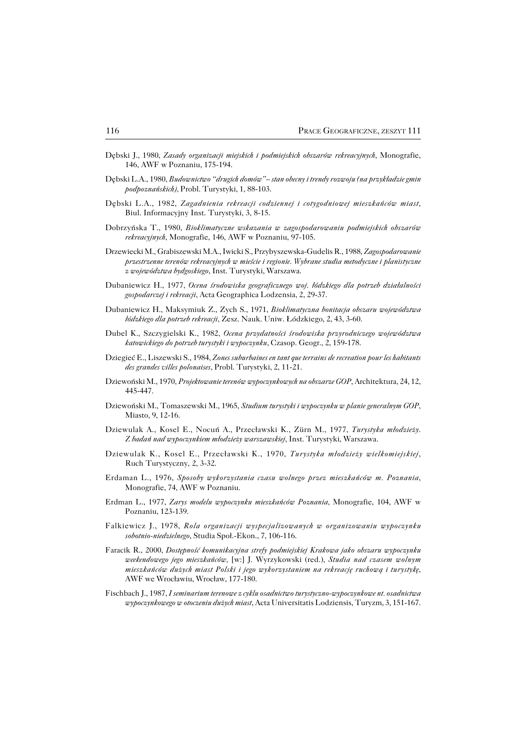- Dębski J., 1980, *Zasady organizacji miejskich i podmiejskich obszarów rekreacyjnych*, Monografie, 146, AWF w Poznaniu, 175−194.
- Dębski L.A., 1980, *Budownictwo "drugich domów"– stan obecny i trendy rozwoju (na przykładzie gmin podpoznańskich),* Probl. Turystyki, 1, 88−103.
- Dębski L.A., 1982, *Zagadnienia rekreacji codziennej i cotygodniowej mieszkańców miast*, Biul. Informacyjny Inst. Turystyki, 3, 8−15.
- Dobrzyńska T., 1980, *Bioklimatyczne wskazania w zagospodarowaniu podmiejskich obszarów rekreacyjnych*, Monografie, 146, AWF w Poznaniu, 97−105.
- Drzewiecki M., Grabiszewski M.A., Iwicki S., Przybyszewska−Gudelis R., 1988, *Zagospodarowanie przestrzenne terenów rekreacyjnych w mieście i regionie. Wybrane studia metodyczne i planistyczne z województwa bydgoskiego*, Inst. Turystyki, Warszawa.
- Dubaniewicz H., 1977, *Ocena środowiska geograficznego woj. łódzkiego dla potrzeb działalności gospodarczej i rekreacji*, Acta Geographica Lodzensia, 2, 29−37.
- Dubaniewicz H., Maksymiuk Z., Zych S., 1971, *Bioklimatyczna bonitacja obszaru województwa łódzkiego dla potrzeb rekreacji*, Zesz. Nauk. Uniw. Łódzkiego, 2, 43, 3−60.
- Dubel K., Szczygielski K., 1982, *Ocena przydatności środowiska przyrodniczego województwa katowickiego do potrzeb turystyki i wypoczynku*, Czasop. Geogr., 2, 159−178.
- Dziegieć E., Liszewski S., 1984, *Zones suburbaines en tant que terrains de recreation pour les habitants des grandes villes polonaises*, Probl. Turystyki, 2, 11−21.
- Dziewoński M., 1970, *Projektowanie terenów wypoczynkowych na obszarze GOP*, Architektura, 24, 12, 445−447.
- Dziewoński M., Tomaszewski M., 1965, *Studium turystyki i wypoczynku w planie generalnym GOP*, Miasto, 9, 12−16.
- Dziewulak A., Kosel E., Nocuń A., Przecławski K., Zürn M., 1977, *Turystyka młodzieży*. *Z badań nad wypoczynkiem młodzieży warszawskiej*, Inst. Turystyki, Warszawa.
- Dziewulak K., Kosel E., Przecławski K., 1970, *Turystyka młodzieży wielkomiejskiej*, Ruch Turystyczny, 2, 3−32.
- Erdaman L., 1976, *Sposoby wykorzystania czasu wolnego przez mieszkańców m. Poznania*, Monografie, 74, AWF w Poznaniu.
- Erdman L., 1977, *Zarys modelu wypoczynku mieszkańców Poznania*, Monografie, 104, AWF w Poznaniu, 123−139.
- Falkiewicz J., 1978, *Rola organizacji wyspecjalizowanych w organizowaniu wypoczynku sobotnio−niedzielnego*, Studia Społ.−Ekon., 7, 106−116.
- Faracik R., 2000, *Dostępność komunikacyjna strefy podmiejskiej Krakowa jako obszaru wypoczynku weekendowego jego mieszkańców,* [w:] J. Wyrzykowski (red.), *Studia nad czasem wolnym mieszkańców dużych miast Polski i jego wykorzystaniem na rekreację ruchową i turystykę*, AWF we Wrocławiu, Wrocław, 177−180.
- Fischbach J., 1987, *I seminarium terenowe z cyklu osadnictwo turystyczno−wypoczynkowe nt. osadnictwa wypoczynkowego w otoczeniu dużych miast*, Acta Universitatis Lodziensis, Turyzm, 3, 151−167.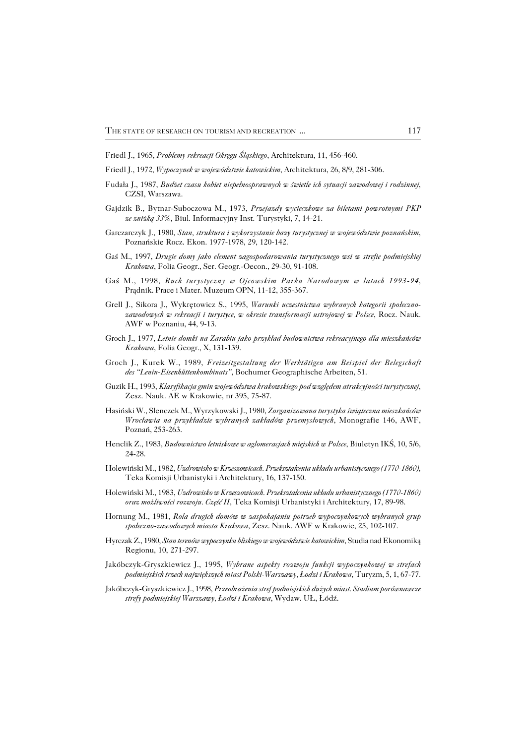- Friedl J., 1965, *Problemy rekreacji Okręgu Śląskiego*, Architektura, 11, 456−460.
- Friedl J., 1972, *Wypoczynek w województwie katowickim*, Architektura, 26, 8/9, 281−306.
- Fudała J., 1987, *Budżet czasu kobiet niepełnosprawnych w świetle ich sytuacji zawodowej i rodzinnej*, CZSI, Warszawa.
- Gajdzik B., Bytnar−Suboczowa M., 1973, *Przejazdy wycieczkowe za biletami powrotnymi PKP ze zniżką 33%,* Biul. Informacyjny Inst. Turystyki, 7, 14−21.
- Garczarczyk J., 1980, *Stan, struktura i wykorzystanie bazy turystycznej w województwie poznańskim*, Poznańskie Rocz. Ekon. 1977−1978, 29, 120−142.
- Gaś M., 1997, *Drugie domy jako element zagospodarowania turystycznego wsi w strefie podmiejskiej Krakowa*, Folia Geogr., Ser. Geogr.−Oecon., 29−30, 91−108.
- Gaś M., 1998, *Ruch turystyczny w Ojcowskim Parku Narodowym w latach 1993−94*, Prądnik. Prace i Mater. Muzeum OPN, 11−12, 355−367.
- Grell J., Sikora J., Wykrętowicz S., 1995, *Warunki uczestnictwa wybranych kategorii społeczno− zawodowych w rekreacji i turystyce, w okresie transformacji ustrojowej w Polsce*, Rocz. Nauk. AWF w Poznaniu, 44, 9−13.
- Groch J., 1977, *Letnie domki na Zarabiu jako przykład budownictwa rekreacyjnego dla mieszkańców Krakowa*, Folia Geogr., X, 131−139.
- Groch J., Kurek W., 1989, *Freizeitgestaltung der Werktätigen am Beispiel der Belegschaft des "Lenin−Eisenhüttenkombinats",* Bochumer Geographische Arbeiten, 51.
- Guzik H., 1993, *Klasyfikacja gmin województwa krakowskiego pod względem atrakcyjności turystycznej*, Zesz. Nauk. AE w Krakowie, nr 395, 75−87.
- Hasiński W., Slenczek M., Wyrzykowski J., 1980, *Zorganizowana turystyka świąteczna mieszkańców Wrocławia na przykładzie wybranych zakładów przemysłowych*, Monografie 146, AWF, Poznań, 253−263.
- Henclik Z., 1983, *Budownictwo letniskowe w aglomeracjach miejskich w Polsce*, Biuletyn IKŚ, 10, 5/6, 24−28.
- Holewiński M., 1982, *Uzdrowisko w Krzeszowicach. Przekształcenia układu urbanistycznego (1770−1860),* Teka Komisji Urbanistyki i Architektury, 16, 137−150.
- Holewiński M., 1983, *Uzdrowisko w Krzeszowicach. Przekształcenia układu urbanistycznego (1770−1860) oraz możliwości rozwoju. Część II*, Teka Komisji Urbanistyki i Architektury, 17, 89−98.
- Hornung M., 1981, *Rola drugich domów w zaspokajaniu potrzeb wypoczynkowych wybranych grup społeczno−zawodowych miasta Krakowa*, Zesz. Nauk. AWF w Krakowie, 25, 102−107.
- Hyrczak Z., 1980, *Stan terenów wypoczynku bliskiego w województwie katowickim*, Studia nad Ekonomiką Regionu, 10, 271−297.
- Jakóbczyk−Gryszkiewicz J., 1995, *Wybrane aspekty rozwoju funkcji wypoczynkowej w strefach podmiejskich trzech największych miast Polski−Warszawy, Łodzi i Krakowa*, Turyzm, 5, 1, 67−77.
- Jakóbczyk−Gryszkiewicz J., 1998, *Przeobrażenia stref podmiejskich dużych miast. Studium porównawcze strefy podmiejskiej Warszawy, Łodzi i Krakowa*, Wydaw. UŁ, Łódź.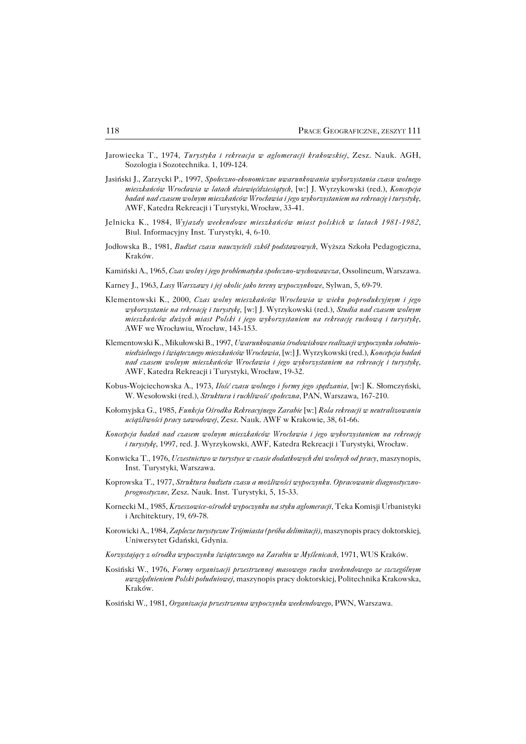- Jarowiecka T., 1974, *Turystyka i rekreacja w aglomeracji krakowskiej*, Zesz. Nauk. AGH, Sozologia i Sozotechnika. 1, 109−124.
- Jasiński J., Zarzycki P., 1997, *Społeczno−ekonomiczne uwarunkowania wykorzystania czasu wolnego mieszkańców Wrocławia w latach dziewięćdziesiątych*, [w:] J. Wyrzykowski (red.), *Koncepcja badań nad czasem wolnym mieszkańców Wrocławia i jego wykorzystaniem na rekreację i turystykę*, AWF, Katedra Rekreacji i Turystyki, Wrocław, 33−41.
- Jelnicka K., 1984, *Wyjazdy weekendowe mieszkańców miast polskich w latach 1981−1982*, Biul. Informacyjny Inst. Turystyki, 4, 6−10.
- Jodłowska B., 1981, *Budżet czasu nauczycieli szkół podstawowych*, Wyższa Szkoła Pedagogiczna, Kraków.
- Kamiński A., 1965, *Czas wolny i jego problematyka społeczno−wychowawcza*, Ossolineum, Warszawa.
- Karney J., 1963, *Lasy Warszawy i jej okolic jako tereny wypoczynkowe*, Sylwan, 5, 69−79.
- Klementowski K., 2000, *Czas wolny mieszkańców Wrocławia w wieku poprodukcyjnym i jego wykorzystanie na rekreację i turystykę,* [w:] J. Wyrzykowski (red.), *Studia nad czasem wolnym mieszkańców dużych miast Polski i jego wykorzystaniem na rekreację ruchową i turystykę*, AWF we Wrocławiu, Wrocław, 143−153.
- Klementowski K., Mikułowski B., 1997, *Uwarunkowania środowiskowe realizacji wypoczynku sobotnio− niedzielnego i świątecznego mieszkańców Wrocławia,* [w:] J. Wyrzykowski (red.), *Koncepcja badań nad czasem wolnym mieszkańców Wrocławia i jego wykorzystaniem na rekreację i turystykę*, AWF, Katedra Rekreacji i Turystyki, Wrocław, 19−32.
- Kobus−Wojciechowska A., 1973, *Ilość czasu wolnego i formy jego spędzania,* [w:] K. Słomczyński, W. Wesołowski (red.), *Struktura i ruchliwość społeczna*, PAN, Warszawa, 167−210.
- Kołomyjska G., 1985, *Funkcja Ośrodka Rekreacyjnego Zarabie* [w:] *Rola rekreacji w neutralizowaniu uciążliwości pracy zawodowej*, Zesz. Nauk. AWF w Krakowie, 38, 61−66.
- *Koncepcja badań nad czasem wolnym mieszkańców Wrocławia i jego wykorzystaniem na rekreację i turystykę*, 1997, red. J. Wyrzykowski, AWF, Katedra Rekreacji i Turystyki, Wrocław.
- Konwicka T., 1976, *Uczestnictwo w turystyce w czasie dodatkowych dni wolnych od pracy*, maszynopis, Inst. Turystyki, Warszawa.
- Koprowska T., 1977, *Struktura budżetu czasu a możliwości wypoczynku. Opracowanie diagnostyczno− prognostyczne*, Zesz. Nauk. Inst. Turystyki, 5, 15−33.
- Kornecki M., 1985, *Krzeszowice−ośrodek wypoczynku na styku aglomeracji*, Teka Komisji Urbanistyki i Architektury, 19, 69−78.
- Korowicki A., 1984, *Zaplecze turystyczne Trójmiasta (próba delimitacji),* maszynopis pracy doktorskiej, Uniwersytet Gdański, Gdynia.
- *Korzystający z ośrodka wypoczynku świątecznego na Zarabiu w Myślenicach*, 1971, WUS Kraków.
- Kosiński W., 1976, *Formy organizacji przestrzennej masowego ruchu weekendowego ze szczególnym uwzględnieniem Polski południowej*, maszynopis pracy doktorskiej, Politechnika Krakowska, Kraków.
- Kosiński W., 1981, *Organizacja przestrzenna wypoczynku weekendowego*, PWN, Warszawa.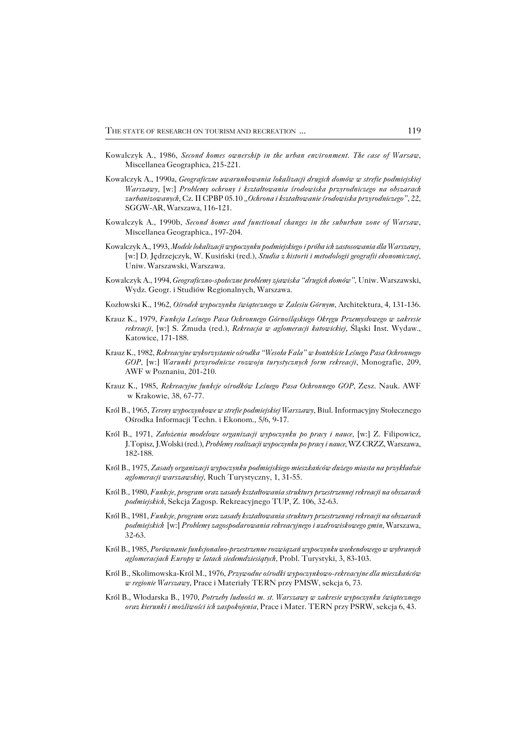- Kowalczyk A., 1986, *Second homes ownership in the urban environment. The case of Warsaw*, Miscellanea Geographica, 215−221.
- Kowalczyk A., 1990a, *Geograficzne uwarunkowania lokalizacji drugich domów w strefie podmiejskiej Warszawy,* [w:] *Problemy ochrony i kształtowania środowiska przyrodniczego na obszarach zurbanizowanych*, Cz. II CPBP 05.10 *"Ochrona i kształtowanie środowiska przyrodniczego"*, 22, SGGW−AR, Warszawa, 116−121.
- Kowalczyk A., 1990b, *Second homes and functional changes in the suburban zone of Warsaw*, Miscellanea Geographica., 197−204.
- Kowalczyk A., 1993, *Modele lokalizacji wypoczynku podmiejskiego i próba ich zastosowania dla Warszawy*, [w:] D. Jędrzejczyk, W. Kusiński (red.), *Studia z historii i metodologii geografii ekonomicznej*, Uniw. Warszawski, Warszawa.
- Kowalczyk A., 1994, *Geograficzno−społeczne problemy zjawiska "drugich domów",* Uniw. Warszawski, Wydz. Geogr. i Studiów Regionalnych, Warszawa.
- Kozłowski K., 1962, *Ośrodek wypoczynku świątecznego w Zalesiu Górnym*, Architektura, 4, 131−136.
- Krauz K., 1979, *Funkcja Leśnego Pasa Ochronnego Górnośląskiego Okręgu Przemysłowego w zakresie rekreacji,* [w:] S. Żmuda (red.), *Rekreacja w aglomeracji katowickiej*, Śląski Inst. Wydaw., Katowice, 171−188.
- Krauz K., 1982, *Rekreacyjne wykorzystanie ośrodka "Wesoła Fala" w kontekście Leśnego Pasa Ochronnego GOP,* [w:] *Warunki przyrodnicze rozwoju turystycznych form rekreacji*, Monografie, 209, AWF w Poznaniu, 201−210.
- Krauz K., 1985, *Rekreacyjne funkcje ośrodków Leśnego Pasa Ochronnego GOP*, Zesz. Nauk. AWF w Krakowie, 38, 67−77.
- Król B., 1965, *Tereny wypoczynkowe w strefie podmiejskiej Warszawy*, Biul. Informacyjny Stołecznego Ośrodka Informacji Techn. i Ekonom., 5/6, 9−17.
- Król B., 1971, *Założenia modelowe organizacji wypoczynku po pracy i nauce,* [w:] Z. Filipowicz, J.Topisz, J.Wolski (red.), *Problemy realizacji wypoczynku po pracy i nauce*, WZ CRZZ, Warszawa, 182−188.
- Król B., 1975, *Zasady organizacji wypoczynku podmiejskiego mieszkańców dużego miasta na przykładzie aglomeracji warszawskiej*, Ruch Turystyczny, 1, 31−55.
- Król B., 1980, *Funkcje, program oraz zasady kształtowania struktury przestrzennej rekreacji na obszarach podmiejskich*, Sekcja Zagosp. Rekreacyjnego TUP, Z. 106, 32−63.
- Król B., 1981, *Funkcje, program oraz zasady kształtowania struktury przestrzennej rekreacji na obszarach podmiejskich* [w:] *Problemy zagospodarowania rekreacyjnego i uzdrowiskowego gmin*, Warszawa, 32−63.
- Król B., 1985, *Porównanie funkcjonalno−przestrzenne rozwiązań wypoczynku weekendowego w wybranych aglomeracjach Europy w latach siedemdziesiątych*, Probl. Turystyki, 3, 83−103.
- Król B., Skolimowska−Król M., 1976, *Przywodne ośrodki wypoczynkowo−rekreacyjne dla mieszkańców w regionie Warszawy*, Prace i Materiały TERN przy PMSW, sekcja 6, 73.
- Król B., Włodarska B., 1970, *Potrzeby ludności m. st. Warszawy w zakresie wypoczynku świątecznego oraz kierunki i możliwości ich zaspokojenia*, Prace i Mater. TERN przy PSRW, sekcja 6, 43.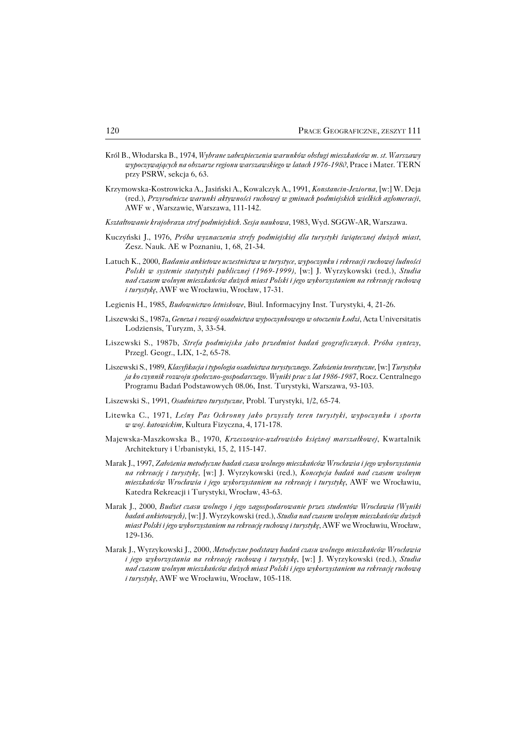- Król B., Włodarska B., 1974, *Wybrane zabezpieczenia warunków obsługi mieszkańców m. st. Warszawy wypoczywających na obszarze regionu warszawskiego w latach 1976−1980*, Prace i Mater. TERN przy PSRW, sekcja 6, 63.
- Krzymowska−Kostrowicka A., Jasiński A., Kowalczyk A., 1991, *Konstancin−Jeziorna,* [w:] W. Deja (red.), *Przyrodnicze warunki aktywności ruchowej w gminach podmiejskich wielkich aglomeracji*, AWF w , Warszawie, Warszawa, 111−142.
- *Kształtowanie krajobrazu stref podmiejskich. Sesja naukowa*, 1983, Wyd. SGGW−AR, Warszawa.
- Kuczyński J., 1976, *Próba wyznaczenia strefy podmiejskiej dla turystyki świątecznej dużych miast*, Zesz. Nauk. AE w Poznaniu, 1, 68, 21−34.
- Latuch K., 2000, *Badania ankietowe uczestnictwa w turystyce, wypoczynku i rekreacji ruchowej ludności Polski w systemie statystyki publicznej (1969−1999),* [w:] J. Wyrzykowski (red.), *Studia nad czasem wolnym mieszkańców dużych miast Polski i jego wykorzystaniem na rekreację ruchową i turystykę*, AWF we Wrocławiu, Wrocław, 17−31.
- Legienis H., 1985, *Budownictwo letniskowe*, Biul. Informacyjny Inst. Turystyki, 4, 21−26.
- Liszewski S., 1987a, *Geneza i rozwój osadnictwa wypoczynkowego w otoczeniu Łodzi*, Acta Universitatis Lodziensis, Turyzm, 3, 33−54.
- Liszewski S., 1987b, *Strefa podmiejska jako przedmiot badań geograficznych. Próba syntezy*, Przegl. Geogr., LIX, 1−2, 65−78.
- Liszewski S., 1989, *Klasyfikacja i typologia osadnictwa turystycznego. Założenia teoretyczne,* [w:] *Turystyka ja ko czynnik rozwoju społeczno−gospodarczego. Wyniki prac z lat 1986−1987*, Rocz. Centralnego Programu Badań Podstawowych 08.06, Inst. Turystyki, Warszawa, 93−103.
- Liszewski S., 1991, *Osadnictwo turystyczne*, Probl. Turystyki, 1/2, 65−74.
- Litewka C., 1971*, Leśny Pas Ochronny jako przyszły teren turystyki, wypoczynku i sportu w woj. katowickim*, Kultura Fizyczna, 4, 171−178.
- Majewska−Maszkowska B., 1970, *Krzeszowice−uzdrowisko księżnej marszałkowej*, Kwartalnik Architektury i Urbanistyki, 15, 2, 115−147.
- Marak J., 1997, *Założenia metodyczne badań czasu wolnego mieszkańców Wrocławia i jego wykorzystania na rekreację i turystykę,* [w:] J. Wyrzykowski (red.), *Koncepcja badań nad czasem wolnym mieszkańców Wrocławia i jego wykorzystaniem na rekreację i turystykę*, AWF we Wrocławiu, Katedra Rekreacji i Turystyki, Wrocław, 43−63.
- Marak J., 2000, *Budżet czasu wolnego i jego zagospodarowanie przez studentów Wrocławia (Wyniki badań ankietowych),* [w:] J. Wyrzykowski (red.), *Studia nad czasem wolnym mieszkańców dużych miast Polski i jego wykorzystaniem na rekreację ruchową i turystykę*, AWF we Wrocławiu, Wrocław, 129−136.
- Marak J., Wyrzykowski J., 2000, *Metodyczne podstawy badań czasu wolnego mieszkańców Wrocławia i jego wykorzystania na rekreację ruchową i turystykę*, [w:] J. Wyrzykowski (red.), *Studia nad czasem wolnym mieszkańców dużych miast Polski i jego wykorzystaniem na rekreację ruchową i turystykę*, AWF we Wrocławiu, Wrocław, 105−118.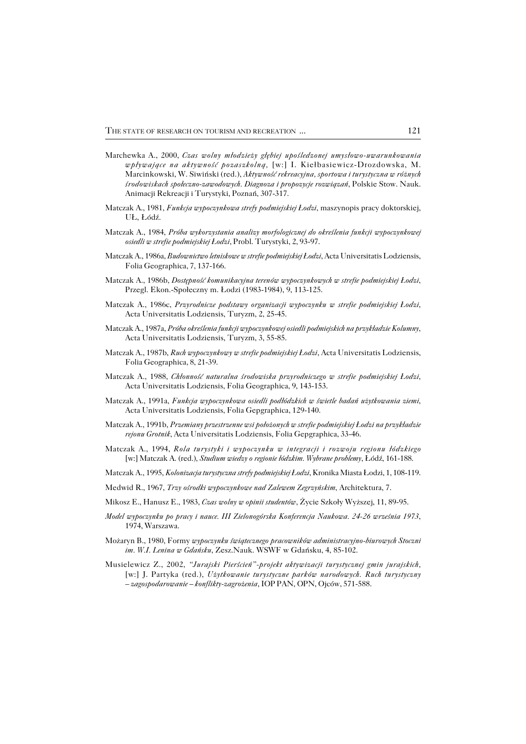- Marchewka A., 2000, *Czas wolny młodzieży głębiej upośledzonej umysłowo−uwarunkowania wpływające na aktywność pozaszkolną,* [w:] I. Kiełbasiewicz−Drozdowska, M. Marcinkowski, W. Siwiński (red.), *Aktywność rekreacyjna, sportowa i turystyczna w różnych środowiskach społeczno−zawodowych. Diagnoza i propozycje rozwiązań*, Polskie Stow. Nauk. Animacji Rekreacji i Turystyki, Poznań, 307−317.
- Matczak A., 1981, *Funkcja wypoczynkowa strefy podmiejskiej Łodzi*, maszynopis pracy doktorskiej, UŁ, Łódź.
- Matczak A., 1984, *Próba wykorzystania analizy morfologicznej do określenia funkcji wypoczynkowej osiedli w strefie podmiejskiej Łodzi*, Probl. Turystyki, 2, 93−97.
- Matczak A., 1986a, *Budownictwo letniskowe w strefie podmiejskiej Łodzi*, Acta Universitatis Lodziensis, Folia Geographica, 7, 137−166.
- Matczak A., 1986b, *Dostępność komunikacyjna terenów wypoczynkowych w strefie podmiejskiej Łodzi*, Przegl. Ekon.−Społeczny m. Łodzi (1983−1984), 9, 113−125.
- Matczak A., 1986c, *Przyrodnicze podstawy organizacji wypoczynku w strefie podmiejskiej Łodzi*, Acta Universitatis Lodziensis, Turyzm, 2, 25−45.
- Matczak A., 1987a, *Próba określenia funkcji wypoczynkowej osiedli podmiejskich na przykładzie Kolumny*, Acta Universitatis Lodziensis, Turyzm, 3, 55−85.
- Matczak A., 1987b, *Ruch wypoczynkowy w strefie podmiejskiej Łodzi*, Acta Universitatis Lodziensis, Folia Geographica, 8, 21−39.
- Matczak A., 1988, *Chłonność naturalna środowiska przyrodniczego w strefie podmiejskiej Łodzi*, Acta Universitatis Lodziensis, Folia Geographica, 9, 143−153.
- Matczak A., 1991a, *Funkcja wypoczynkowa osiedli podłódzkich w świetle badań użytkowania ziemi*, Acta Universitatis Lodziensis, Folia Gepgraphica, 129−140.
- Matczak A., 1991b, *Przemiany przestrzenne wsi położonych w strefie podmiejskiej Łodzi na przykładzie rejonu Grotnik*, Acta Universitatis Lodziensis, Folia Gepgraphica, 33−46.
- Matczak A., 1994, *Rola turystyki i wypoczynku w integracji i rozwoju regionu łódzkiego* [w:] Matczak A. (red.), *Studium wiedzy o regionie łódzkim. Wybrane problemy*, Łódź, 161−188.
- Matczak A., 1995, *Kolonizacja turystyczna strefy podmiejskiej Łodzi*, Kronika Miasta Łodzi, 1, 108−119.
- Medwid R., 1967, *Trzy ośrodki wypoczynkowe nad Zalewem Zegrzyńskim*, Architektura, 7.
- Mikosz E., Hanusz E., 1983, *Czas wolny w opinii studentów*, Życie Szkoły Wyższej, 11, 89−95.
- *Model wypoczynku po pracy i nauce. III Zielonogórska Konferencja Naukowa. 24−26 września 1973*, 1974, Warszawa.
- Możaryn B., 1980, Formy *wypoczynku świątecznego pracowników administracyjno−biurowych Stoczni im. W.I. Lenina w Gdańsku*, Zesz.Nauk. WSWF w Gdańsku, 4, 85−102.
- Musielewicz Z., 2002, *"Jurajski Pierścień"−projekt aktywizacji turystycznej gmin jurajskich,* [w:] J. Partyka (red.), *Użytkowanie turystyczne parków narodowych. Ruch turystyczny – zagospodarowanie – konflikty−zagrożenia*, IOP PAN, OPN, Ojców, 571−588.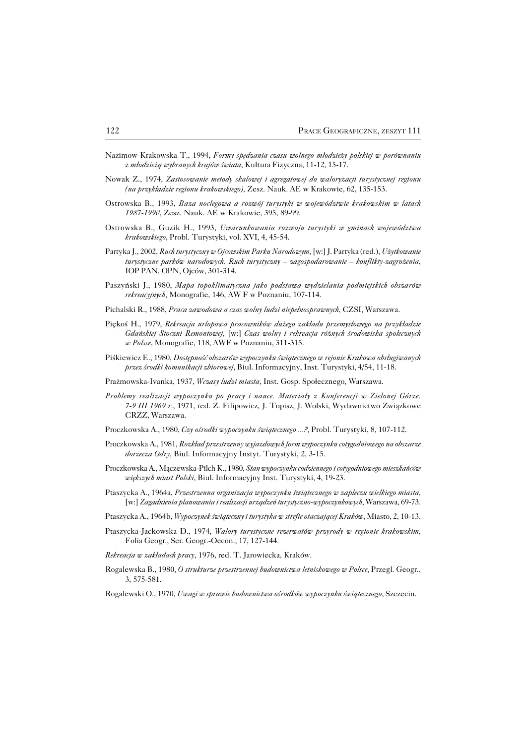- Nazimow−Krakowska T., 1994, *Formy spędzania czasu wolnego młodzieży polskiej w porównaniu z młodzieżą wybranych krajów świata*, Kultura Fizyczna, 11−12, 15−17.
- Nowak Z., 1974, *Zastosowanie metody skalowej i agregatowej do waloryzacji turystycznej regionu (na przykładzie regionu krakowskiego),* Zesz. Nauk. AE w Krakowie, 62, 135−153.
- Ostrowska B., 1993, *Baza noclegowa a rozwój turystyki w województwie krakowskim w latach 1987−1990*, Zesz. Nauk. AE w Krakowie, 395, 89−99.
- Ostrowska B., Guzik H., 1993, *Uwarunkowania rozwoju turystyki w gminach województwa krakowskiego*, Probl. Turystyki, vol. XVI, 4, 45−54.
- Partyka J., 2002, *Ruch turystyczny w Ojcowskim Parku Narodowym,* [w:] J. Partyka (red.), *Użytkowanie turystyczne parków narodowych. Ruch turystyczny – zagospodarowanie – konflikty−zagrożenia*, IOP PAN, OPN, Ojców, 301−314.
- Paszyński J., 1980, *Mapa topoklimatyczna jako podstawa wydzielania podmiejskich obszarów rekreacyjnych*, Monografie, 146, AW F w Poznaniu, 107−114.
- Pichalski R., 1988, *Praca zawodowa a czas wolny ludzi niepełnosprawnych*, CZSI, Warszawa.
- Piękoś H., 1979, *Rekreacja urlopowa pracowników dużego zakładu przemysłowego na przykładzie Gdańskiej Stoczni Remontowej,* [w:] *Czas wolny i rekreacja różnych środowiska społecznych w Polsce*, Monografie, 118, AWF w Poznaniu, 311−315.
- Piśkiewicz E., 1980, *Dostępność obszarów wypoczynku świątecznego w rejonie Krakowa obsługiwanych przez środki komunikacji zbiorowej*, Biul. Informacyjny, Inst. Turystyki, 4/54, 11−18.
- Prażmowska−Ivanka, 1937, *Wczasy ludzi miasta*, Inst. Gosp. Społecznego, Warszawa.
- *Problemy realizacji wypoczynku po pracy i nauce. Materiały z Konferencji w Zielonej Górze. 7−9 III 1969 r*., 1971, red. Z. Filipowicz, J. Topisz, J. Wolski, Wydawnictwo Związkowe CRZZ, Warszawa.
- Proczkowska A., 1980, *Czy ośrodki wypoczynku świątecznego ...?,* Probl. Turystyki, 8, 107−112.
- Proczkowska A., 1981, *Rozkład przestrzenny wyjazdowych form wypoczynku cotygodniowego na obszarze dorzecza Odry*, Biul. Informacyjny Instyt. Turystyki, 2, 3−15.
- Proczkowska A., Mączewska−Pilch K., 1980, *Stan wypoczynku codziennego i cotygodniowego mieszkańców większych miast Polski*, Biul. Informacyjny Inst. Turystyki, 4, 19−23.
- Ptaszycka A., 1964a, *Przestrzenna organizacja wypoczynku świątecznego w zapleczu wielkiego miasta,* [w:] *Zagadnienia planowania i realizacji urządzeń turystyczno−wypoczynkowych*, Warszawa, 69−73.
- Ptaszycka A., 1964b, *Wypoczynek świąteczny i turystyka w strefie otaczającej Kraków*, Miasto, 2, 10−13.
- Ptaszycka−Jackowska D., 1974, *Walory turystyczne rezerwatów przyrody w regionie krakowskim*, Folia Geogr., Ser. Geogr.−Oecon., 17, 127−144.
- *Rekreacja w zakładach pracy*, 1976, red. T. Jarowiecka, Kraków.
- Rogalewska B., 1980, *O strukturze przestrzennej budownictwa letniskowego w Polsce*, Przegl. Geogr., 3, 575−581.
- Rogalewski O., 1970, *Uwagi w sprawie budownictwa ośrodków wypoczynku świątecznego*, Szczecin.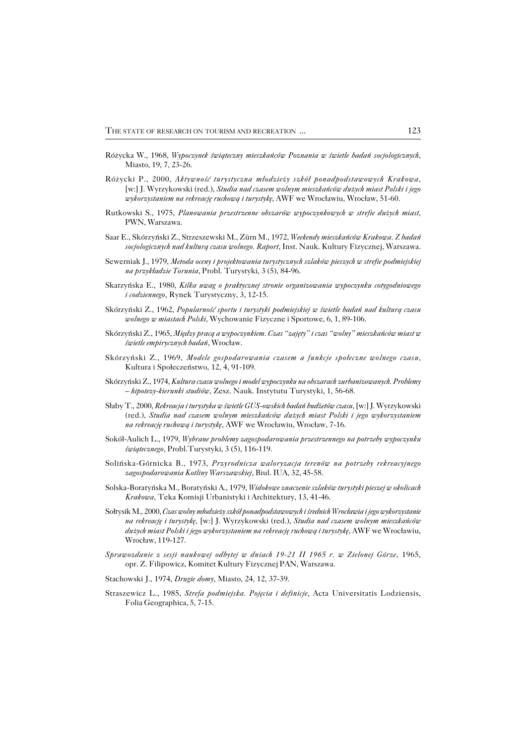- Różycka W., 1968, *Wypoczynek świąteczny mieszkańców Poznania w świetle badań socjologicznych*, Miasto, 19, 7, 23−26.
- Różycki P., 2000, *Aktywność turystyczna młodzieży szkół ponadpodstawowych Krakowa,* [w:] J. Wyrzykowski (red.), *Studia nad czasem wolnym mieszkańców dużych miast Polski i jego wykorzystaniem na rekreację ruchową i turystykę*, AWF we Wrocławiu, Wrocław, 51−60.
- Rutkowski S., 1975, *Planowania przestrzenne obszarów wypoczynkowych w strefie dużych miast*, PWN, Warszawa.
- Saar E., Skórzyński Z., Strzeszewski M., Zürn M., 1972, *Weekendy mieszkańców Krakowa. Z badań socjologicznych nad kulturą czasu wolnego. Raport*, Inst. Nauk. Kultury Fizycznej, Warszawa.
- Sewerniak J., 1979, *Metoda oceny i projektowania turystycznych szlaków pieszych w strefie podmiejskiej na przykładzie Torunia*, Probl. Turystyki, 3 (5), 84−96.
- Skarzyńska E., 1980, *Kilka uwag o praktycznej stronie organizowania wypoczynku cotygodniowego i codziennego*, Rynek Turystyczny, 3, 12−15.
- Skórzyński Z., 1962, *Popularność sportu i turystyki podmiejskiej w świetle badań nad kulturą czasu wolnego w miastach Polski*, Wychowanie Fizyczne i Sportowe, 6, 1, 89−106.
- Skórzyński Z., 1965, *Między pracą a wypoczynkiem. Czas "zajęty" i czas "wolny" mieszkańców miast w świetle empirycznych badań*, Wrocław.
- Skórzyński Z., 1969, *Modele gospodarowania czasem a funkcje społeczne wolnego czasu*, Kultura i Społeczeństwo, 12, 4, 91−109.
- Skórzyński Z., 1974, *Kultura czasu wolnego i model wypoczynku na obszarach zurbanizowanych. Problemy – hipotezy−kierunki studiów*, Zesz. Nauk. Instytutu Turystyki, 1, 56−68.
- Słaby T., 2000, *Rekreacja i turystyka w świetle GUS−owskich badań budżetów czasu,* [w:] J. Wyrzykowski (red.), *Studia nad czasem wolnym mieszkańców dużych miast Polski i jego wykorzystaniem na rekreację ruchową i turystykę*, AWF we Wrocławiu, Wrocław, 7−16.
- Sokół−Aulich L., 1979, *Wybrane problemy zagospodarowania przestrzennego na potrzeby wypoczynku świątecznego*, Probl.Turystyki, 3 (5), 116−119.
- Solińska−Górnicka B., 1973, *Przyrodnicza waloryzacja terenów na potrzeby rekreacyjnego zagospodarowania Kotliny Warszawskiej*, Biul. IUA, 32, 45−58.
- Solska−Boratyńska M., Boratyński A., 1979, *Widokowe znaczenie szlaków turystyki pieszej w okolicach Krakowa*, Teka Komisji Urbanistyki i Architektury, 13, 41−46.
- Sołtysik M., 2000, *Czas wolny młodzieży szkół ponadpodstawowych i średnich Wrocławia i jego wykorzystanie na rekreację i turystykę,* [w:] J. Wyrzykowski (red.), *Studia nad czasem wolnym mieszkańców dużych miast Polski i jego wykorzystaniem na rekreację ruchową i turystykę*, AWF we Wrocławiu, Wrocław, 119−127.
- *Sprawozdanie z sesji naukowej odbytej w dniach 19−21 II 1965 r. w Zielonej Górze*, 1965, opr. Z. Filipowicz, Komitet Kultury Fizycznej PAN, Warszawa.
- Stachowski J., 1974, *Drugie domy*, Miasto, 24, 12, 37−39.
- Straszewicz L., 1985, *Strefa podmiejska. Pojęcia i definicje*, Acta Universitatis Lodziensis, Folia Geographica, 5, 7−15.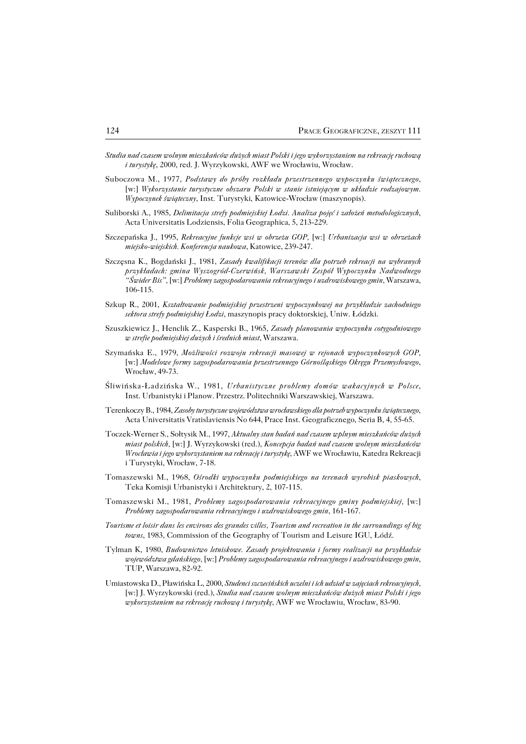- *Studia nad czasem wolnym mieszkańców dużych miast Polski i jego wykorzystaniem na rekreację ruchową i turystykę*, 2000, red. J. Wyrzykowski, AWF we Wrocławiu, Wrocław.
- Suboczowa M., 1977, *Podstawy do próby rozkładu przestrzennego wypoczynku świątecznego,* [w:] *Wykorzystanie turystyczne obszaru Polski w stanie istniejącym w układzie rodzajowym. Wypoczynek świąteczny*, Inst. Turystyki, Katowice−Wrocław (maszynopis).
- Suliborski A., 1985, *Delimitacja strefy podmiejskiej Łodzi. Analiza pojęć i założeń metodologicznych*, Acta Universitatis Lodziensis, Folia Geographica, 5, 213−229.
- Szczepańska J., 1995, *Rekreacyjne funkcje wsi w obrzeżu GOP,* [w:] *Urbanizacja wsi w obrzeżach miejsko−wiejskich. Konferencja naukowa*, Katowice, 239−247.
- Szczęsna K., Bogdański J., 1981, *Zasady kwalifikacji terenów dla potrzeb rekreacji na wybranych przykładach: gmina Wyszogród−Czerwińsk, Warszawski Zespół Wypoczynku Nadwodnego "Świder Bis",* [w:] *Problemy zagospodarowania rekreacyjnego i uzdrowiskowego gmin*, Warszawa, 106−115.
- Szkup R., 2001, *Kształtowanie podmiejskiej przestrzeni wypoczynkowej na przykładzie zachodniego sektora strefy podmiejskiej Łodzi*, maszynopis pracy doktorskiej, Uniw. Łódzki.
- Szuszkiewicz J., Henclik Z., Kasperski B., 1965, *Zasady planowania wypoczynku cotygodniowego w strefie podmiejskiej dużych i średnich miast*, Warszawa.
- Szymańska E., 1979, *Możliwości rozwoju rekreacji masowej w rejonach wypoczynkowych GOP,* [w:] *Modelowe formy zagospodarowania przestrzennego Górnośląskiego Okręgu Przemysłowego*, Wrocław, 49−73.
- Śliwińska−Ładzińska W., 1981, *Urbanistyczne problemy domów wakacyjnych w Polsce*, Inst. Urbanistyki i Planow. Przestrz. Politechniki Warszawskiej, Warszawa.
- Terenkoczy B., 1984, *Zasoby turystyczne województwa wrocławskiego dla potrzeb wypoczynku świątecznego*, Acta Universitatis Vratislaviensis No 644, Prace Inst. Geograficznego, Seria B, 4, 55−65.
- Toczek−Werner S., Sołtysik M., 1997, *Aktualny stan badań nad czasem wplnym mieszkańców dużych miast polskich,* [w:] J. Wyrzykowski (red.), *Koncepcja badań nad czasem wolnym mieszkańców Wrocławia i jego wykorzystaniem na rekreację i turystykę*, AWF we Wrocławiu, Katedra Rekreacji i Turystyki, Wrocław, 7−18.
- Tomaszewski M., 1968, *Ośrodki wypoczynku podmiejskiego na terenach wyrobisk piaskowych*, Teka Komisji Urbanistyki i Architektury, 2, 107−115.
- Tomaszewski M., 1981, *Problemy zagospodarowania rekreacyjnego gminy podmiejskiej,* [w:] *Problemy zagospodarowania rekreacyjnego i uzdrowiskowego gmin*, 161−167.
- *Tourisme et loisir dans les environs des grandes villes, Tourism and recreation in the surroundings of big towns*, 1983, Commission of the Geography of Tourism and Leisure IGU, Łódź.
- Tylman K, 1980, *Budownictwo letniskowe. Zasady projektowania i formy realizacji na przykładzie województwa gdańskiego,* [w:] *Problemy zagospodarowania rekreacyjnego i uzdrowiskowego gmin*, TUP, Warszawa, 82−92.
- Umiastowska D., Pławińska L, 2000, *Studenci szczecińskich uczelni i ich udział w zajęciach rekreacyjnych,* [w:] J. Wyrzykowski (red.), *Studia nad czasem wolnym mieszkańców dużych miast Polski i jego wykorzystaniem na rekreację ruchową i turystykę*, AWF we Wrocławiu, Wrocław, 83−90.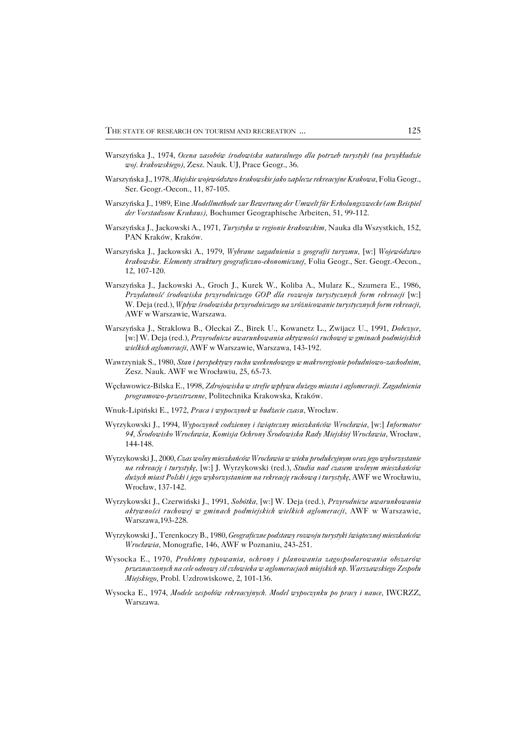- Warszyńska J., 1974, *Ocena zasobów środowiska naturalnego dla potrzeb turystyki (na przykładzie woj. krakowskiego),* Zesz. Nauk. UJ, Prace Geogr., 36.
- Warszyńska J., 1978, *Miejskie województwo krakowskie jako zaplecze rekreacyjne Krakowa*, Folia Geogr., Ser. Geogr.−Oecon., 11, 87−105.
- Warszyńska J., 1989, Eine *Modellmethode zur Bewertung der Umwelt für Erholungszwecke (am Beispiel der Vorstadzone Krakaus),* Bochumer Geographische Arbeiten, 51, 99−112.
- Warszyńska J., Jackowski A., 1971, *Turystyka w regionie krakowskim*, Nauka dla Wszystkich, 152, PAN Kraków, Kraków.
- Warszyńska J., Jackowski A., 1979, *Wybrane zagadnienia z geografii turyzmu,* [w:] *Województwo krakowskie. Elementy struktury geograficzno−ekonomicznej*, Folia Geogr., Ser. Geogr.−Oecon., 12, 107−120.
- Warszyńska J., Jackowski A., Groch J., Kurek W., Koliba A., Mularz K., Szumera E., 1986, *Przydatność środowiska przyrodniczego GOP dla rozwoju turystycznych form rekreacji* [w:] W. Deja (red.), *Wpływ środowiska przyrodniczego na zróżnicowanie turystycznych form rekreacji*, AWF w Warszawie, Warszawa.
- Warszyńska J., Straklowa B., Oleckai Z., Birek U., Kowanetz L., Zwijacz U., 1991, *Dobczyce,* [w:] W. Deja (red.), *Przyrodnicze uwarunkowania aktywności ruchowej w gminach podmiejskich wielkich aglomeracji*, AWF w Warszawie, Warszawa, 143−192.
- Wawrzyniak S., 1980, *Stan i perspektywy ruchu weekendowego w makroregionie południowo−zachodnim*, Zesz. Nauk. AWF we Wrocławiu, 25, 65−73.
- Węcławowicz−Bilska E., 1998, *Zdrojowiska w strefie wpływu dużego miasta i aglomeracji. Zagadnienia programowo−przestrzenne*, Politechnika Krakowska, Kraków.
- Wnuk−Lipiński E., 1972, *Praca i wypoczynek w budżecie czasu*, Wrocław.
- Wyrzykowski J., 1994, *Wypoczynek codzienny i świąteczny mieszkańców Wrocławia,* [w:] *Informator 94, Środowisko Wrocławia, Komisja Ochrony Środowiska Rady Miejskiej Wrocławia*, Wrocław, 144−148.
- Wyrzykowski J., 2000, *Czas wolny mieszkańców Wrocławia w wieku produkcyjnym oraz jego wykorzystanie na rekreację i turystykę,* [w:] J. Wyrzykowski (red.), *Studia nad czasem wolnym mieszkańców dużych miast Polski i jego wykorzystaniem na rekreację ruchową i turystykę*, AWF we Wrocławiu, Wrocław, 137−142.
- Wyrzykowski J., Czerwiński J., 1991, *Sobótka,* [w:] W. Deja (red.), *Przyrodnicze uwarunkowania aktywności ruchowej w gminach podmiejskich wielkich aglomeracji*, AWF w Warszawie, Warszawa,193−228.
- Wyrzykowski J., Terenkoczy B., 1980, *Geograficzne podstawy rozwoju turystyki świątecznej mieszkańców Wrocławia*, Monografie, 146, AWF w Poznaniu, 243−251.
- Wysocka E., 1970, *Problemy typowania, ochrony i planowania zagospodarowania obszarów przeznaczonych na cele odnowy sił człowieka w aglomeracjach miejskich np. Warszawskiego Zespołu Miejskiego*, Probl. Uzdrowiskowe, 2, 101−136.
- Wysocka E., 1974, *Modele zespołów rekreacyjnych. Model wypoczynku po pracy i nauce*, IWCRZZ, Warszawa.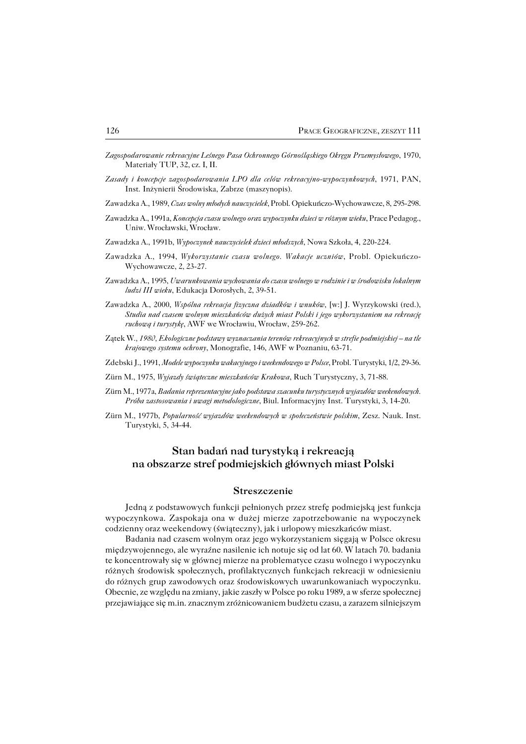- *Zagospodarowanie rekreacyjne Leśnego Pasa Ochronnego Górnośląskiego Okręgu Przemysłowego*, 1970, Materiały TUP, 32, cz. I, II.
- *Zasady i koncepcje zagospodarowania LPO dla celów rekreacyjno−wypoczynkowych*, 1971, PAN, Inst. Inżynierii Środowiska, Zabrze (maszynopis).
- Zawadzka A., 1989, *Czas wolny młodych nauczycielek*, Probl. Opiekuńczo−Wychowawcze, 8, 295−298.
- Zawadzka A., 1991a, *Koncepcja czasu wolnego oraz wypoczynku dzieci w różnym wieku*, Prace Pedagog., Uniw. Wrocławski, Wrocław.
- Zawadzka A., 1991b, *Wypoczynek nauczycielek dzieci młodszych*, Nowa Szkoła, 4, 220−224.
- Zawadzka A., 1994, *Wykorzystanie czasu wolnego. Wakacje uczniów*, Probl. Opiekuńczo− Wychowawcze, 2, 23−27.
- Zawadzka A., 1995, *Uwarunkowania wychowania do czasu wolnego w rodzinie i w środowisku lokalnym ludzi III wieku*, Edukacja Dorosłych, 2, 39−51.
- Zawadzka A., 2000, *Wspólna rekreacja fizyczna dziadków i wnuków,* [w:] J. Wyrzykowski (red.), *Studia nad czasem wolnym mieszkańców dużych miast Polski i jego wykorzystaniem na rekreację ruchową i turystykę*, AWF we Wrocławiu, Wrocław, 259−262.
- Zątek W*., 1980, Ekologiczne podstawy wyznaczania terenów rekreacyjnych w strefie podmiejskiej na tle krajowego systemu ochrony*, Monografie, 146, AWF w Poznaniu, 63−71.
- Zdebski J., 1991, *Modele wypoczynku wakacyjnego i weekendowego w Polsce*, Probl. Turystyki, 1/2, 29−36.
- Zürn M., 1975, *Wyjazdy świąteczne mieszkańców Krakowa*, Ruch Turystyczny, 3, 71−88.
- Zürn M., 1977a, *Badania reprezentacyjne jako podstawa szacunku turystycznych wyjazdów weekendowych. Próba zastosowania i uwagi metodologiczne*, Biul. Informacyjny Inst. Turystyki, 3, 14−20.
- Zürn M., 1977b, *Popularność wyjazdów weekendowych w społeczeństwie polskim*, Zesz. Nauk. Inst. Turystyki, 5, 34−44.

# **Stan badań nad turystyką i rekreacją na obszarze stref podmiejskich głównych miast Polski**

#### **Streszczenie**

Jedną z podstawowych funkcji pełnionych przez strefę podmiejską jest funkcja wypoczynkowa. Zaspokaja ona w dużej mierze zapotrzebowanie na wypoczynek codzienny oraz weekendowy (świąteczny), jak i urlopowy mieszkańców miast.

Badania nad czasem wolnym oraz jego wykorzystaniem sięgają w Polsce okresu międzywojennego, ale wyraźne nasilenie ich notuje się od lat 60. W latach 70. badania te koncentrowały się w głównej mierze na problematyce czasu wolnego i wypoczynku różnych środowisk społecznych, profilaktycznych funkcjach rekreacji w odniesieniu do różnych grup zawodowych oraz środowiskowych uwarunkowaniach wypoczynku. Obecnie, ze względu na zmiany, jakie zaszły w Polsce po roku 1989, a w sferze społecznej przejawiające się m.in. znacznym zróżnicowaniem budżetu czasu, a zarazem silniejszym